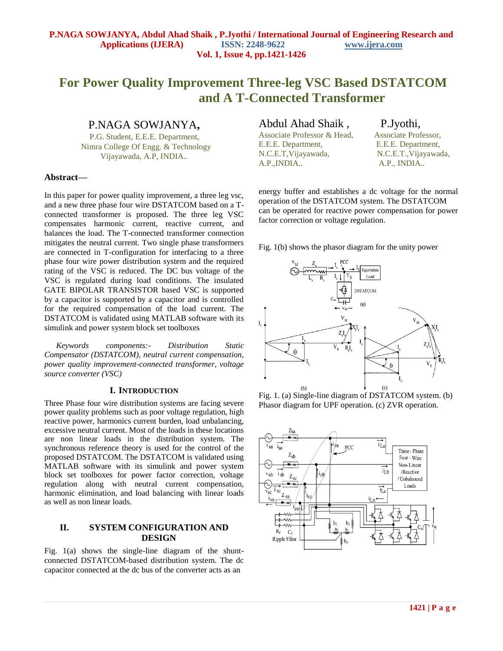# **For Power Quality Improvement Three-leg VSC Based DSTATCOM and A T-Connected Transformer**

P.NAGA SOWJANYA**,**

 P.G. Student, E.E.E. Department, Nimra College Of Engg. & Technology Vijayawada, A.P, INDIA..

#### **Abstract—**

In this paper for power quality improvement, a three leg vsc, and a new three phase four wire DSTATCOM based on a Tconnected transformer is proposed. The three leg VSC compensates harmonic current, reactive current, and balances the load. The T-connected transformer connection mitigates the neutral current. Two single phase transformers are connected in T-configuration for interfacing to a three phase four wire power distribution system and the required rating of the VSC is reduced. The DC bus voltage of the VSC is regulated during load conditions. The insulated GATE BIPOLAR TRANSISTOR based VSC is supported by a capacitor is supported by a capacitor and is controlled for the required compensation of the load current. The DSTATCOM is validated using MATLAB software with its simulink and power system block set toolboxes

*Keywords components:- Distribution Static Compensator (DSTATCOM), neutral current compensation, power quality improvement-connected transformer, voltage source converter (VSC)* 

#### **I. INTRODUCTION**

Three Phase four wire distribution systems are facing severe power quality problems such as poor voltage regulation, high reactive power, harmonics current burden, load unbalancing, excessive neutral current. Most of the loads in these locations are non linear loads in the distribution system. The synchronous reference theory is used for the control of the proposed DSTATCOM. The DSTATCOM is validated using MATLAB software with its simulink and power system block set toolboxes for power factor correction, voltage regulation along with neutral current compensation, harmonic elimination, and load balancing with linear loads as well as non linear loads.

## **II. SYSTEM CONFIGURATION AND DESIGN**

Fig. 1(a) shows the single-line diagram of the shuntconnected DSTATCOM-based distribution system. The dc capacitor connected at the dc bus of the converter acts as an

## Abdul Ahad Shaik , P.Jyothi, Associate Professor & Head, Associate Professor, E.E.E. Department, E.E.E. Department, N.C.E.T,Vijayawada, N.C.E.T.,Vijayawada, A.P.,INDIA.. A.P., INDIA..

energy buffer and establishes a dc voltage for the normal operation of the DSTATCOM system. The DSTATCOM can be operated for reactive power compensation for power factor correction or voltage regulation.

Fig. 1(b) shows the phasor diagram for the unity power



Fig. 1. (a) Single-line diagram of DSTATCOM system. (b) Phasor diagram for UPF operation. (c) ZVR operation.

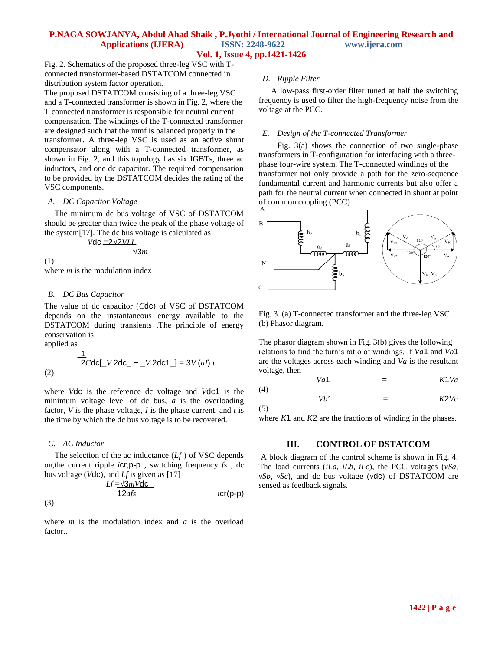## **P.NAGA SOWJANYA, Abdul Ahad Shaik , P.Jyothi / International Journal of Engineering Research and Applications (IJERA) ISSN: 2248-9622 www.ijera.com Vol. 1, Issue 4, pp.1421-1426**

Fig. 2. Schematics of the proposed three-leg VSC with Tconnected transformer-based DSTATCOM connected in distribution system factor operation.

The proposed DSTATCOM consisting of a three-leg VSC and a T-connected transformer is shown in Fig. 2, where the T connected transformer is responsible for neutral current compensation. The windings of the T-connected transformer are designed such that the mmf is balanced properly in the transformer. A three-leg VSC is used as an active shunt compensator along with a T-connected transformer, as shown in Fig. 2, and this topology has six IGBTs, three ac inductors, and one dc capacitor. The required compensation to be provided by the DSTATCOM decides the rating of the VSC components.

#### *A. DC Capacitor Voltage*

 The minimum dc bus voltage of VSC of DSTATCOM should be greater than twice the peak of the phase voltage of the system[17]. The dc bus voltage is calculated as

$$
Vdc = 2\sqrt{2VLL} \sqrt{3m}
$$

$$
f_{\rm{max}}
$$

where *m* is the modulation index

#### *B. DC Bus Capacitor*

The value of dc capacitor (*C*dc) of VSC of DSTATCOM depends on the instantaneous energy available to the DSTATCOM during transients .The principle of energy conservation is

applied as

(1)

$$
\frac{1}{2Cdc} [V 2dc_ - [V 2dc1_] = 3V (al) t
$$
\n(2)

where *V*dc is the reference dc voltage and *V*dc1 is the minimum voltage level of dc bus, *a* is the overloading factor, *V* is the phase voltage, *I* is the phase current, and *t* is the time by which the dc bus voltage is to be recovered.

#### *C. AC Inductor*

(3)

The selection of the ac inductance  $(Lf)$  of VSC depends on,the current ripple *i*cr*,*p-p , switching frequency *fs* , dc bus voltage (*V*dc), and *Lf* is given as [17]

$$
Lf = \frac{\sqrt{3mVdc}}{12afs}
$$
 *icr(p-p)*

where *m* is the modulation index and *a* is the overload factor..

#### *D. Ripple Filter*

 A low-pass first-order filter tuned at half the switching frequency is used to filter the high-frequency noise from the voltage at the PCC.

#### *E. Design of the T-connected Transformer*

 Fig. 3(a) shows the connection of two single-phase transformers in T-configuration for interfacing with a threephase four-wire system. The T-connected windings of the transformer not only provide a path for the zero-sequence fundamental current and harmonic currents but also offer a path for the neutral current when connected in shunt at point of common coupling (PCC).



Fig. 3. (a) T-connected transformer and the three-leg VSC. (b) Phasor diagram.

The phasor diagram shown in Fig. 3(b) gives the following relations to find the turn's ratio of windings. If *Va*1 and *Vb*1 are the voltages across each winding and *Va* is the resultant voltage, then

$$
Va1 = K1Va
$$
\n
$$
Vb1 = K2Va
$$

(5)

(4)

where *K*1 and *K*2 are the fractions of winding in the phases.

## **III. CONTROL OF DSTATCOM**

A block diagram of the control scheme is shown in Fig. 4. The load currents (*iLa, iLb, iLc*), the PCC voltages (*vSa, vSb, vSc*), and dc bus voltage (*v*dc) of DSTATCOM are sensed as feedback signals.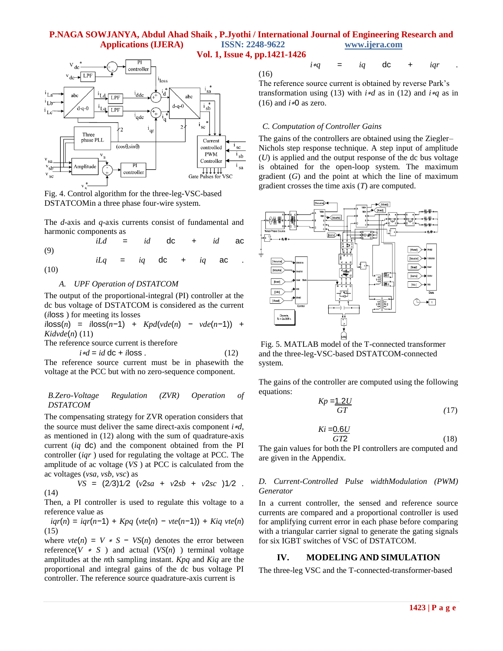## **P.NAGA SOWJANYA, Abdul Ahad Shaik , P.Jyothi / International Journal of Engineering Research and Applications (IJERA) ISSN: 2248-9622 www.ijera.com**



(16)



Fig. 4. Control algorithm for the three-leg-VSC-based DSTATCOMin a three phase four-wire system.

The *d*-axis and *q*-axis currents consist of fundamental and harmonic components as

 *iLd* = *id* dc + *id* ac (9)

 $iLq = iq$  dc +  $iq$  ac *.* 

(10)

#### *A. UPF Operation of DSTATCOM*

The output of the proportional-integral (PI) controller at the dc bus voltage of DSTATCOM is considered as the current (*i*loss ) for meeting its losses

*i*loss(*n*) = *i*loss(*n−*1) + *Kpd*(*vde*(*n*) *− vde*(*n−*1)) + *Kidvde*(*n*) (11)

The reference source current is therefore

 $i * d = id \, dc + i \, loss$  *.* (12)

The reference source current must be in phasewith the voltage at the PCC but with no zero-sequence component.

#### *B.Zero-Voltage Regulation (ZVR) Operation of DSTATCOM*

The compensating strategy for ZVR operation considers that the source must deliver the same direct-axis component *i*∗*d*, as mentioned in (12) along with the sum of quadrature-axis current (*iq* dc) and the component obtained from the PI controller (*iqr* ) used for regulating the voltage at PCC. The amplitude of ac voltage (*VS* ) at PCC is calculated from the ac voltages (*vsa, vsb, vsc*) as

$$
VS = (2/3)1/2 (v2sa + v2sb + v2sc)1/2 .
$$
 (14)

Then, a PI controller is used to regulate this voltage to a reference value as

 *iqr*(*n*) = *iqr*(*n−*1) + *Kpq* (*vte*(*n*) *− vte*(*n−*1)) + *Kiq vte*(*n*)  $(15)$ 

where  $vte(n) = V * S - VS(n)$  denotes the error between reference( $V * S$ ) and actual ( $VS(n)$ ) terminal voltage amplitudes at the *n*th sampling instant. *Kpq* and *Kiq* are the proportional and integral gains of the dc bus voltage PI controller. The reference source quadrature-axis current is

| -    |  |  | $i*q = iq$ dc + $iqr$ . |  |
|------|--|--|-------------------------|--|
| (16) |  |  |                         |  |

The reference source current is obtained by reverse Park's transformation using (13) with *i*∗*d* as in (12) and *i*∗*q* as in (16) and  $i*0$  as zero.

## *C. Computation of Controller Gains*

The gains of the controllers are obtained using the Ziegler– Nichols step response technique. A step input of amplitude (*U*) is applied and the output response of the dc bus voltage is obtained for the open-loop system. The maximum gradient (*G*) and the point at which the line of maximum gradient crosses the time axis (*T*) are computed.



Fig. 5. MATLAB model of the T-connected transformer and the three-leg-VSC-based DSTATCOM-connected system.

The gains of the controller are computed using the following equations:

$$
Kp = \frac{1.2U}{GT} \tag{17}
$$

$$
Ki = 0.6U
$$
  

$$
GT2
$$
 (18)

The gain values for both the PI controllers are computed and are given in the Appendix.

#### *D. Current-Controlled Pulse widthModulation (PWM) Generator*

In a current controller, the sensed and reference source currents are compared and a proportional controller is used for amplifying current error in each phase before comparing with a triangular carrier signal to generate the gating signals for six IGBT switches of VSC of DSTATCOM.

## **IV. MODELING AND SIMULATION**

The three-leg VSC and the T-connected-transformer-based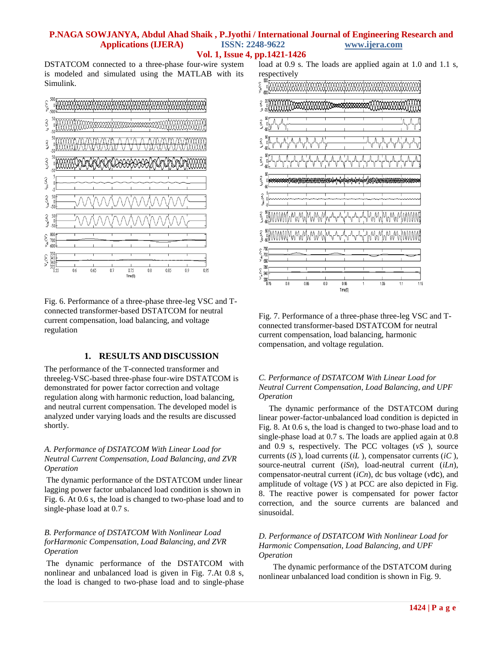## **P.NAGA SOWJANYA, Abdul Ahad Shaik , P.Jyothi / International Journal of Engineering Research and Applications (IJERA) ISSN: 2248-9622 www.ijera.com**

**Vol. 1, Issue 4, pp.1421-1426**

DSTATCOM connected to a three-phase four-wire system is modeled and simulated using the MATLAB with its Simulink.



Fig. 6. Performance of a three-phase three-leg VSC and Tconnected transformer-based DSTATCOM for neutral current compensation, load balancing, and voltage regulation

## **1. RESULTS AND DISCUSSION**

The performance of the T-connected transformer and threeleg-VSC-based three-phase four-wire DSTATCOM is demonstrated for power factor correction and voltage regulation along with harmonic reduction, load balancing, and neutral current compensation. The developed model is analyzed under varying loads and the results are discussed shortly.

## *A. Performance of DSTATCOM With Linear Load for Neutral Current Compensation, Load Balancing, and ZVR Operation*

The dynamic performance of the DSTATCOM under linear lagging power factor unbalanced load condition is shown in Fig. 6. At 0.6 s, the load is changed to two-phase load and to single-phase load at 0.7 s.

## *B. Performance of DSTATCOM With Nonlinear Load forHarmonic Compensation, Load Balancing, and ZVR Operation*

The dynamic performance of the DSTATCOM with nonlinear and unbalanced load is given in Fig. 7.At 0.8 s, the load is changed to two-phase load and to single-phase load at 0.9 s. The loads are applied again at 1.0 and 1.1 s, respectively



Fig. 7. Performance of a three-phase three-leg VSC and Tconnected transformer-based DSTATCOM for neutral current compensation, load balancing, harmonic compensation, and voltage regulation.

### *C. Performance of DSTATCOM With Linear Load for Neutral Current Compensation, Load Balancing, and UPF Operation*

 The dynamic performance of the DSTATCOM during linear power-factor-unbalanced load condition is depicted in Fig. 8. At 0.6 s, the load is changed to two-phase load and to single-phase load at 0.7 s. The loads are applied again at 0.8 and 0.9 s, respectively. The PCC voltages (*vS* ), source currents (*iS* ), load currents (*iL* ), compensator currents (*iC* ), source-neutral current (*iSn*), load-neutral current (*iLn*), compensator-neutral current (*iCn*), dc bus voltage (*v*dc), and amplitude of voltage (*VS* ) at PCC are also depicted in Fig. 8. The reactive power is compensated for power factor correction, and the source currents are balanced and sinusoidal.

## *D. Performance of DSTATCOM With Nonlinear Load for Harmonic Compensation, Load Balancing, and UPF Operation*

 The dynamic performance of the DSTATCOM during nonlinear unbalanced load condition is shown in Fig. 9.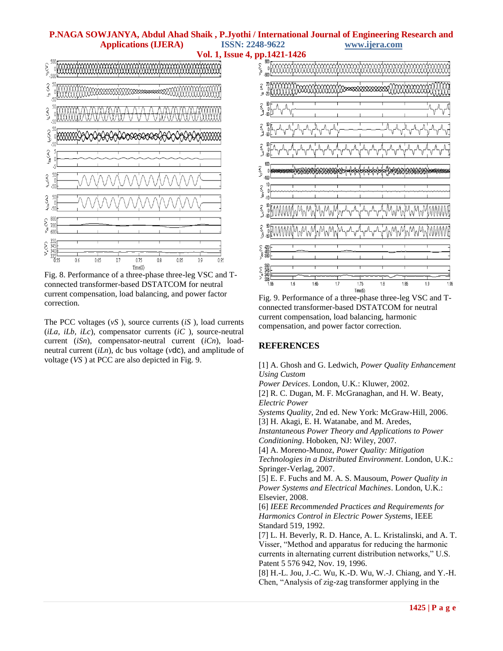## **P.NAGA SOWJANYA, Abdul Ahad Shaik , P.Jyothi / International Journal of Engineering Research and Applications (IJERA) ISSN: 2248-9622 www.ijera.com Vol. 1, Issue 4, pp.1421-1426**



Fig. 8. Performance of a three-phase three-leg VSC and Tconnected transformer-based DSTATCOM for neutral current compensation, load balancing, and power factor correction.

The PCC voltages (*vS* ), source currents (*iS* ), load currents (*iLa, iLb, iLc*), compensator currents (*iC* ), source-neutral current (*iSn*), compensator-neutral current (*iCn*), loadneutral current (*iLn*), dc bus voltage (*v*dc), and amplitude of voltage (*VS* ) at PCC are also depicted in Fig. 9.



Fig. 9. Performance of a three-phase three-leg VSC and Tconnected transformer-based DSTATCOM for neutral current compensation, load balancing, harmonic compensation, and power factor correction.

## **REFERENCES**

[1] A. Ghosh and G. Ledwich, *Power Quality Enhancement Using Custom*

*Power Devices*. London, U.K.: Kluwer, 2002.

[2] R. C. Dugan, M. F. McGranaghan, and H. W. Beaty, *Electric Power*

*Systems Quality*, 2nd ed. New York: McGraw-Hill, 2006. [3] H. Akagi, E. H. Watanabe, and M. Aredes,

*Instantaneous Power Theory and Applications to Power Conditioning*. Hoboken, NJ: Wiley, 2007.

[4] A. Moreno-Munoz, *Power Quality: Mitigation* 

*Technologies in a Distributed Environment*. London, U.K.: Springer-Verlag, 2007.

[5] E. F. Fuchs and M. A. S. Mausoum, *Power Quality in Power Systems and Electrical Machines*. London, U.K.: Elsevier, 2008.

[6] *IEEE Recommended Practices and Requirements for Harmonics Control in Electric Power Systems*, IEEE Standard 519, 1992.

[7] L. H. Beverly, R. D. Hance, A. L. Kristalinski, and A. T. Visser, "Method and apparatus for reducing the harmonic currents in alternating current distribution networks," U.S. Patent 5 576 942, Nov. 19, 1996.

[8] H.-L. Jou, J.-C. Wu, K.-D. Wu, W.-J. Chiang, and Y.-H. Chen, "Analysis of zig-zag transformer applying in the